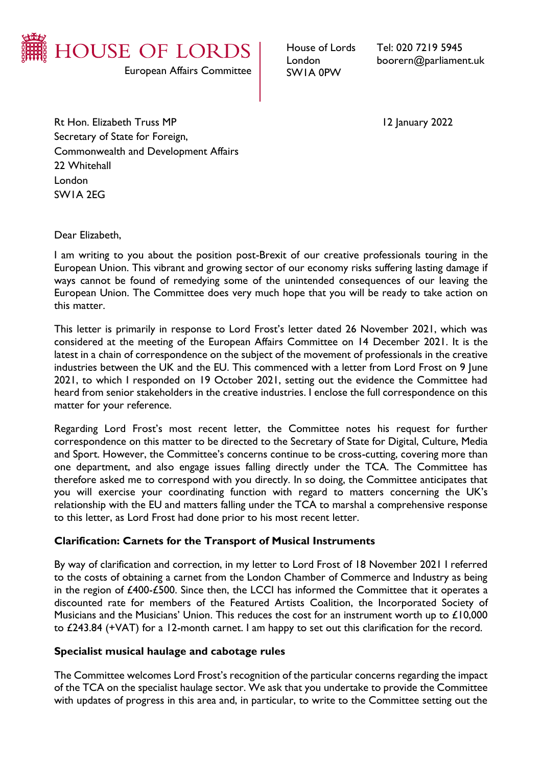

House of Lords London SW1A 0PW

Tel: 020 7219 5945 boorern@parliament.uk

Rt Hon. Elizabeth Truss MP 12 January 2022 Secretary of State for Foreign, Commonwealth and Development Affairs 22 Whitehall London SW1A 2EG

Dear Elizabeth,

I am writing to you about the position post-Brexit of our creative professionals touring in the European Union. This vibrant and growing sector of our economy risks suffering lasting damage if ways cannot be found of remedying some of the unintended consequences of our leaving the European Union. The Committee does very much hope that you will be ready to take action on this matter.

This letter is primarily in response to Lord Frost's letter dated 26 November 2021, which was considered at the meeting of the European Affairs Committee on 14 December 2021. It is the latest in a chain of correspondence on the subject of the movement of professionals in the creative industries between the UK and the EU. This commenced with a letter from Lord Frost on 9 June 2021, to which I responded on 19 October 2021, setting out the evidence the Committee had heard from senior stakeholders in the creative industries. I enclose the full correspondence on this matter for your reference.

Regarding Lord Frost's most recent letter, the Committee notes his request for further correspondence on this matter to be directed to the Secretary of State for Digital, Culture, Media and Sport. However, the Committee's concerns continue to be cross-cutting, covering more than one department, and also engage issues falling directly under the TCA. The Committee has therefore asked me to correspond with you directly. In so doing, the Committee anticipates that you will exercise your coordinating function with regard to matters concerning the UK's relationship with the EU and matters falling under the TCA to marshal a comprehensive response to this letter, as Lord Frost had done prior to his most recent letter.

# **Clarification: Carnets for the Transport of Musical Instruments**

By way of clarification and correction, in my letter to Lord Frost of 18 November 2021 I referred to the costs of obtaining a carnet from the London Chamber of Commerce and Industry as being in the region of £400-£500. Since then, the LCCI has informed the Committee that it operates a discounted rate for members of the Featured Artists Coalition, the Incorporated Society of Musicians and the Musicians' Union. This reduces the cost for an instrument worth up to  $£10,000$ to £243.84 (+VAT) for a 12-month carnet. I am happy to set out this clarification for the record.

### **Specialist musical haulage and cabotage rules**

The Committee welcomes Lord Frost's recognition of the particular concerns regarding the impact of the TCA on the specialist haulage sector. We ask that you undertake to provide the Committee with updates of progress in this area and, in particular, to write to the Committee setting out the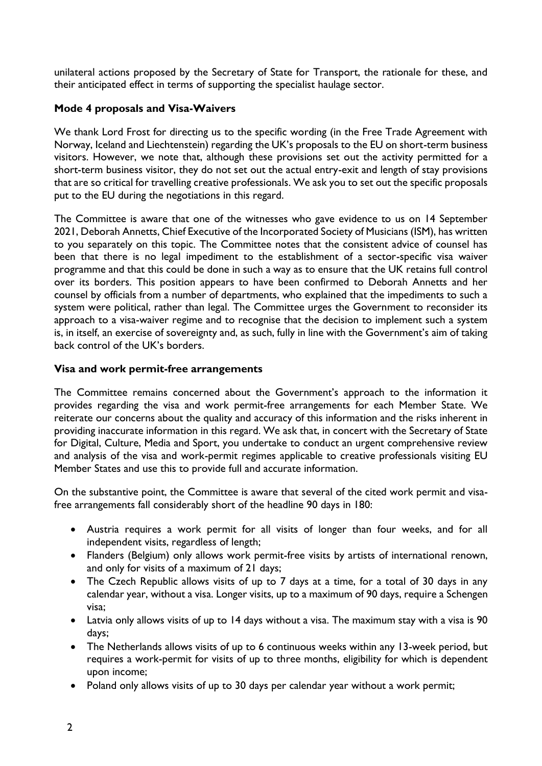unilateral actions proposed by the Secretary of State for Transport, the rationale for these, and their anticipated effect in terms of supporting the specialist haulage sector.

# **Mode 4 proposals and Visa-Waivers**

We thank Lord Frost for directing us to the specific wording (in the Free Trade Agreement with Norway, Iceland and Liechtenstein) regarding the UK's proposals to the EU on short-term business visitors. However, we note that, although these provisions set out the activity permitted for a short-term business visitor, they do not set out the actual entry-exit and length of stay provisions that are so critical for travelling creative professionals. We ask you to set out the specific proposals put to the EU during the negotiations in this regard.

The Committee is aware that one of the witnesses who gave evidence to us on 14 September 2021, Deborah Annetts, Chief Executive of the Incorporated Society of Musicians (ISM), has written to you separately on this topic. The Committee notes that the consistent advice of counsel has been that there is no legal impediment to the establishment of a sector-specific visa waiver programme and that this could be done in such a way as to ensure that the UK retains full control over its borders. This position appears to have been confirmed to Deborah Annetts and her counsel by officials from a number of departments, who explained that the impediments to such a system were political, rather than legal. The Committee urges the Government to reconsider its approach to a visa-waiver regime and to recognise that the decision to implement such a system is, in itself, an exercise of sovereignty and, as such, fully in line with the Government's aim of taking back control of the UK's borders.

# **Visa and work permit-free arrangements**

The Committee remains concerned about the Government's approach to the information it provides regarding the visa and work permit-free arrangements for each Member State. We reiterate our concerns about the quality and accuracy of this information and the risks inherent in providing inaccurate information in this regard. We ask that, in concert with the Secretary of State for Digital, Culture, Media and Sport, you undertake to conduct an urgent comprehensive review and analysis of the visa and work-permit regimes applicable to creative professionals visiting EU Member States and use this to provide full and accurate information.

On the substantive point, the Committee is aware that several of the cited work permit and visafree arrangements fall considerably short of the headline 90 days in 180:

- Austria requires a work permit for all visits of longer than four weeks, and for all independent visits, regardless of length;
- Flanders (Belgium) only allows work permit-free visits by artists of international renown, and only for visits of a maximum of 21 days;
- The Czech Republic allows visits of up to 7 days at a time, for a total of 30 days in any calendar year, without a visa. Longer visits, up to a maximum of 90 days, require a Schengen visa;
- Latvia only allows visits of up to 14 days without a visa. The maximum stay with a visa is 90 days;
- The Netherlands allows visits of up to 6 continuous weeks within any 13-week period, but requires a work-permit for visits of up to three months, eligibility for which is dependent upon income;
- Poland only allows visits of up to 30 days per calendar year without a work permit;